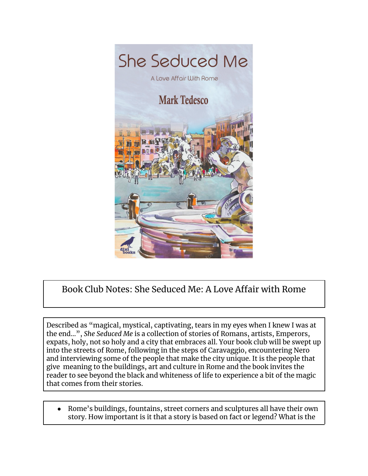

## Book Club Notes: She Seduced Me: A Love Affair with Rome

Described as "magical, mystical, captivating, tears in my eyes when I knew I was at the end…", *She Seduced Me* is a collection of stories of Romans, artists, Emperors, expats, holy, not so holy and a city that embraces all. Your book club will be swept up into the streets of Rome, following in the steps of Caravaggio, encountering Nero and interviewing some of the people that make the city unique. It is the people that give meaning to the buildings, art and culture in Rome and the book invites the reader to see beyond the black and whiteness of life to experience a bit of the magic that comes from their stories.

Rome's buildings, fountains, street corners and sculptures all have their own story. How important is it that a story is based on fact or legend? What is the